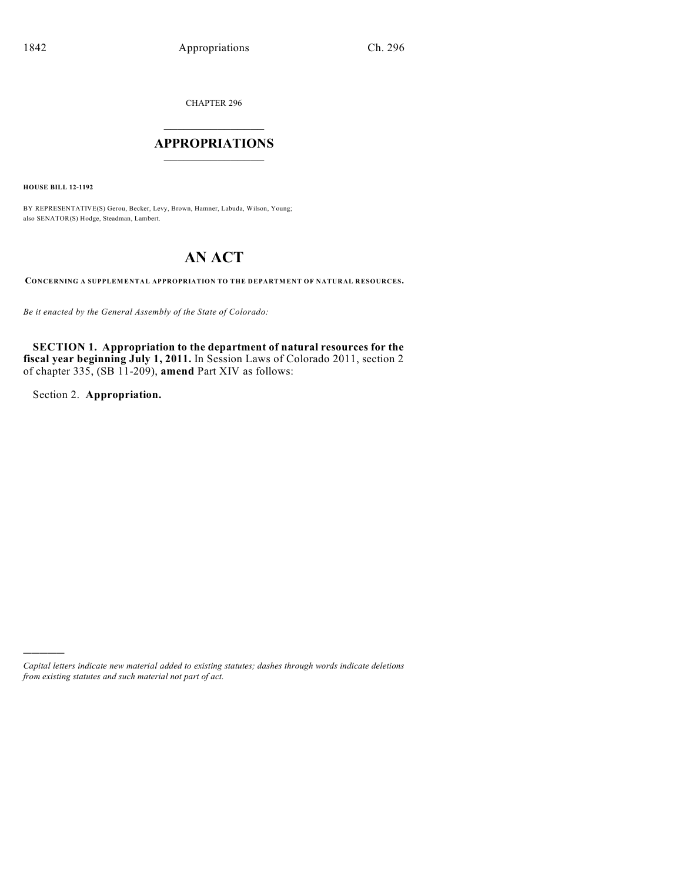CHAPTER 296

# $\overline{\phantom{a}}$  . The set of the set of the set of the set of the set of the set of the set of the set of the set of the set of the set of the set of the set of the set of the set of the set of the set of the set of the set o **APPROPRIATIONS**  $\_$   $\_$   $\_$   $\_$   $\_$   $\_$   $\_$   $\_$

**HOUSE BILL 12-1192**

BY REPRESENTATIVE(S) Gerou, Becker, Levy, Brown, Hamner, Labuda, Wilson, Young; also SENATOR(S) Hodge, Steadman, Lambert.

# **AN ACT**

**CONCERNING A SUPPLEMENTAL APPROPRIATION TO THE DEPARTMENT OF NATURAL RESOURCES.**

*Be it enacted by the General Assembly of the State of Colorado:*

**SECTION 1. Appropriation to the department of natural resources for the fiscal year beginning July 1, 2011.** In Session Laws of Colorado 2011, section 2 of chapter 335, (SB 11-209), **amend** Part XIV as follows:

Section 2. **Appropriation.**

)))))

*Capital letters indicate new material added to existing statutes; dashes through words indicate deletions from existing statutes and such material not part of act.*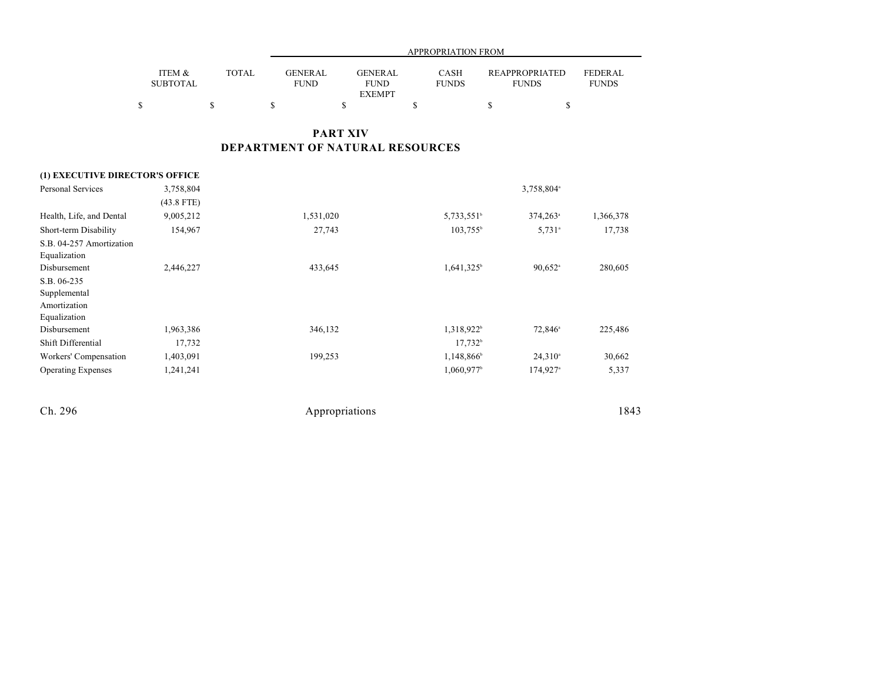|                                 |       |             | APPROPRIATION FROM |              |                       |              |  |  |
|---------------------------------|-------|-------------|--------------------|--------------|-----------------------|--------------|--|--|
|                                 |       |             |                    |              |                       |              |  |  |
| <b>ITEM <math>\&amp;</math></b> | TOTAL | GENERAL     | <b>GENERAL</b>     | CASH         | <b>REAPPROPRIATED</b> | FEDERAL      |  |  |
| <b>SUBTOTAL</b>                 |       | <b>FUND</b> | <b>FUND</b>        | <b>FUNDS</b> | <b>FUNDS</b>          | <b>FUNDS</b> |  |  |
|                                 |       |             | <b>EXEMPT</b>      |              |                       |              |  |  |
|                                 |       |             |                    |              |                       |              |  |  |

## **PART XIV DEPARTMENT OF NATURAL RESOURCES**

#### **(1) EXECUTIVE DIRECTOR'S OFFICE** Personal Services 3,758,804 3,758,804  $3,758,804$ <sup>a</sup> (43.8 FTE) Health, Life, and Dental 9,005,212 1,531,020 5,733,551 374,263 1,366,378  $374,263$ <sup>a</sup> Short-term Disability 154,967 27,743 103,755 5,731 17,738 S.B. 04-257 Amortization Equalization Disbursement 2,446,227 280,605 433,645 1,641,325 90,652 280,605  $1,641,325^{\circ}$  90,652<sup>a</sup> S.B. 06-235 Supplemental Amortization Equalization Disbursement 1,963,386 346,132 1,318,922 72,846 225,486 225,486  $1,318,922^{\circ}$   $72,846^{\circ}$ Shift Differential 17,732 17,732 17,732 17,732 17,732 17,732 17,732 17,732 17,732 17,732 17,732 17,732 17,732 17,732 17,732 17,732 17,732 17,732 17,732 17,732 17,732 17,732 17,732 17,732 17,732 17,732 17,000 17,000 17,12 Workers' Compensation 1,403,091 199,253 1,148,866 24,310 30,662 Operating Expenses 1,241,241 1,060,97<sup>b</sup> 174,927<sup>b</sup> 5,337  $174,927$ <sup>a</sup>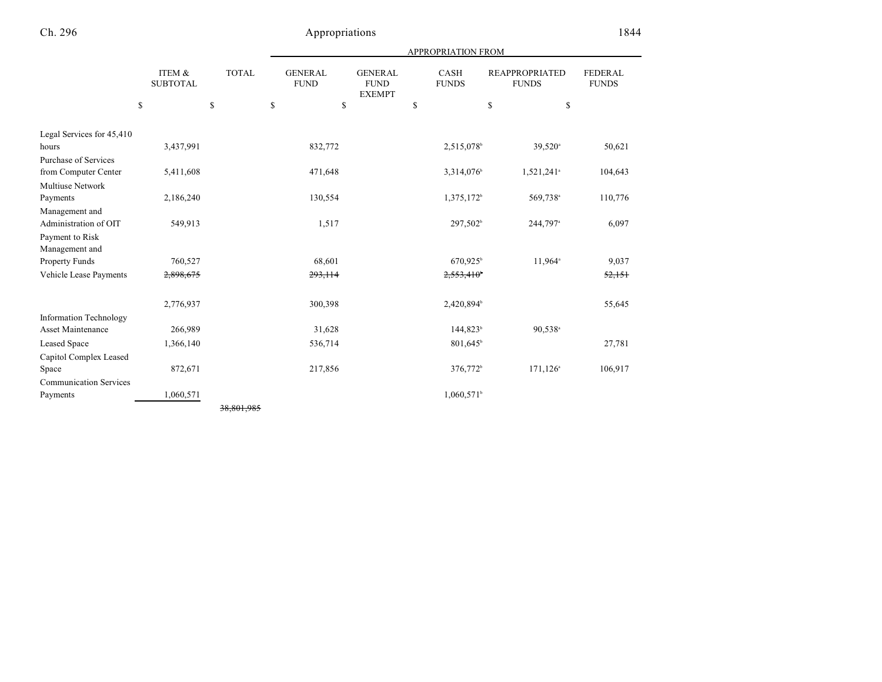| <b>APPROPRIATION FROM</b> |  |
|---------------------------|--|
|                           |  |

|                               | <b>ITEM &amp;</b><br><b>SUBTOTAL</b><br>\$ | <b>TOTAL</b><br>\$ | <b>GENERAL</b><br><b>FUND</b><br>\$<br>\$ | <b>GENERAL</b><br><b>FUND</b><br><b>EXEMPT</b> | CASH<br><b>FUNDS</b><br>\$ | <b>REAPPROPRIATED</b><br><b>FUNDS</b><br>\$<br>\$ | FEDERAL<br><b>FUNDS</b> |
|-------------------------------|--------------------------------------------|--------------------|-------------------------------------------|------------------------------------------------|----------------------------|---------------------------------------------------|-------------------------|
| Legal Services for 45,410     |                                            |                    |                                           |                                                |                            |                                                   |                         |
| hours                         | 3,437,991                                  |                    | 832,772                                   |                                                | 2,515,078 <sup>b</sup>     | 39,520 <sup>a</sup>                               | 50,621                  |
| Purchase of Services          |                                            |                    |                                           |                                                |                            |                                                   |                         |
| from Computer Center          | 5,411,608                                  |                    | 471,648                                   |                                                | 3,314,076 <sup>b</sup>     | 1,521,241 <sup>a</sup>                            | 104,643                 |
| Multiuse Network              |                                            |                    |                                           |                                                |                            |                                                   |                         |
| Payments                      | 2,186,240                                  |                    | 130,554                                   |                                                | 1,375,172 <sup>b</sup>     | 569,738 <sup>a</sup>                              | 110,776                 |
| Management and                |                                            |                    |                                           |                                                |                            |                                                   |                         |
| Administration of OIT         | 549,913                                    |                    | 1,517                                     |                                                | 297,502 <sup>b</sup>       | 244,797 <sup>a</sup>                              | 6,097                   |
| Payment to Risk               |                                            |                    |                                           |                                                |                            |                                                   |                         |
| Management and                |                                            |                    |                                           |                                                |                            |                                                   |                         |
| Property Funds                | 760,527                                    |                    | 68,601                                    |                                                | $670,925$ <sup>b</sup>     | $11,964$ <sup>a</sup>                             | 9,037                   |
| Vehicle Lease Payments        | 2,898,675                                  |                    | 293, 114                                  |                                                | $2,553,410^{\circ}$        |                                                   | 52,151                  |
|                               |                                            |                    |                                           |                                                |                            |                                                   |                         |
|                               | 2,776,937                                  |                    | 300,398                                   |                                                | 2,420,894                  |                                                   | 55,645                  |
| <b>Information Technology</b> |                                            |                    |                                           |                                                |                            |                                                   |                         |
| Asset Maintenance             | 266,989                                    |                    | 31,628                                    |                                                | $144,823^{\circ}$          | $90,538$ <sup>a</sup>                             |                         |
| Leased Space                  | 1,366,140                                  |                    | 536,714                                   |                                                | 801,645                    |                                                   | 27,781                  |
| Capitol Complex Leased        |                                            |                    |                                           |                                                |                            |                                                   |                         |
| Space                         | 872,671                                    |                    | 217,856                                   |                                                | 376,772 <sup>b</sup>       | $171, 126$ <sup>a</sup>                           | 106,917                 |
| <b>Communication Services</b> |                                            |                    |                                           |                                                |                            |                                                   |                         |
| Payments                      | 1,060,571                                  |                    |                                           |                                                | $1,060,571$ <sup>b</sup>   |                                                   |                         |
|                               |                                            | 38.801.985         |                                           |                                                |                            |                                                   |                         |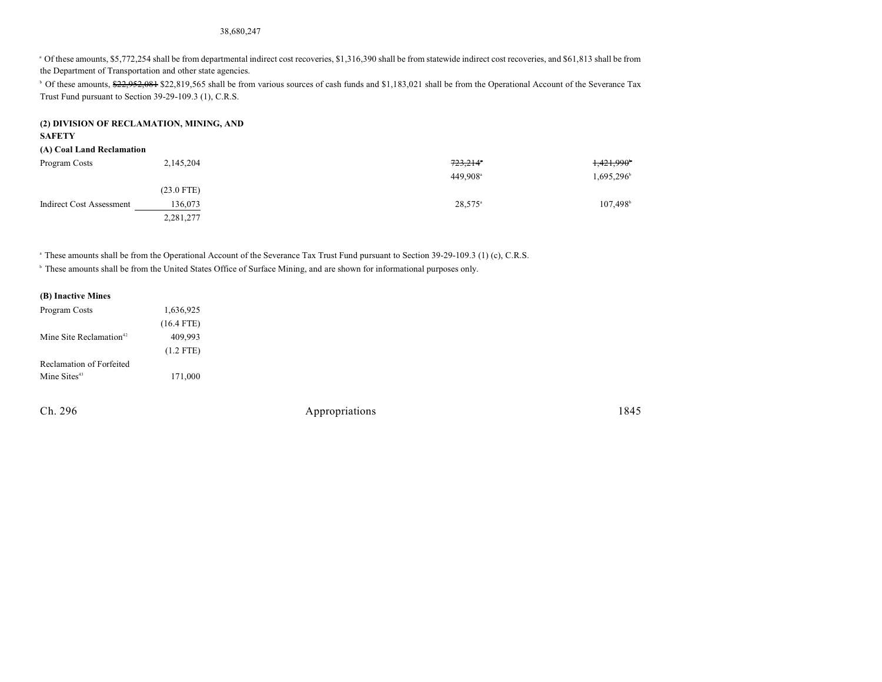#### 38,680,247

<sup>a</sup> Of these amounts, \$5,772,254 shall be from departmental indirect cost recoveries, \$1,316,390 shall be from statewide indirect cost recoveries, and \$61,813 shall be from the Department of Transportation and other state agencies.

<sup>b</sup> Of these amounts, \$22,952,081 \$22,819,565 shall be from various sources of cash funds and \$1,183,021 shall be from the Operational Account of the Severance Tax Trust Fund pursuant to Section 39-29-109.3 (1), C.R.S.

### **(2) DIVISION OF RECLAMATION, MINING, AND**

#### **SAFETY**

#### **(A) Coal Land Reclamation**

| Program Costs            | 2,145,204    | 723,214°             | 1,421,990 <sup>*</sup> |
|--------------------------|--------------|----------------------|------------------------|
|                          |              | 449.908 <sup>a</sup> | 1,695,296              |
|                          | $(23.0$ FTE) |                      |                        |
| Indirect Cost Assessment | 136,073      | $28,575^{\circ}$     | $107.498^{\circ}$      |
|                          | 2,281,277    |                      |                        |

<sup>a</sup> These amounts shall be from the Operational Account of the Severance Tax Trust Fund pursuant to Section 39-29-109.3 (1) (c), C.R.S.

<sup>h</sup> These amounts shall be from the United States Office of Surface Mining, and are shown for informational purposes only.

# **(B) Inactive Mines**

| Program Costs                       | 1,636,925    |
|-------------------------------------|--------------|
|                                     | $(16.4$ FTE) |
| Mine Site Reclamation <sup>42</sup> | 409.993      |
|                                     | $(1.2$ FTE)  |
| Reclamation of Forfeited            |              |
| Mine Sites <sup>43</sup>            | 171,000      |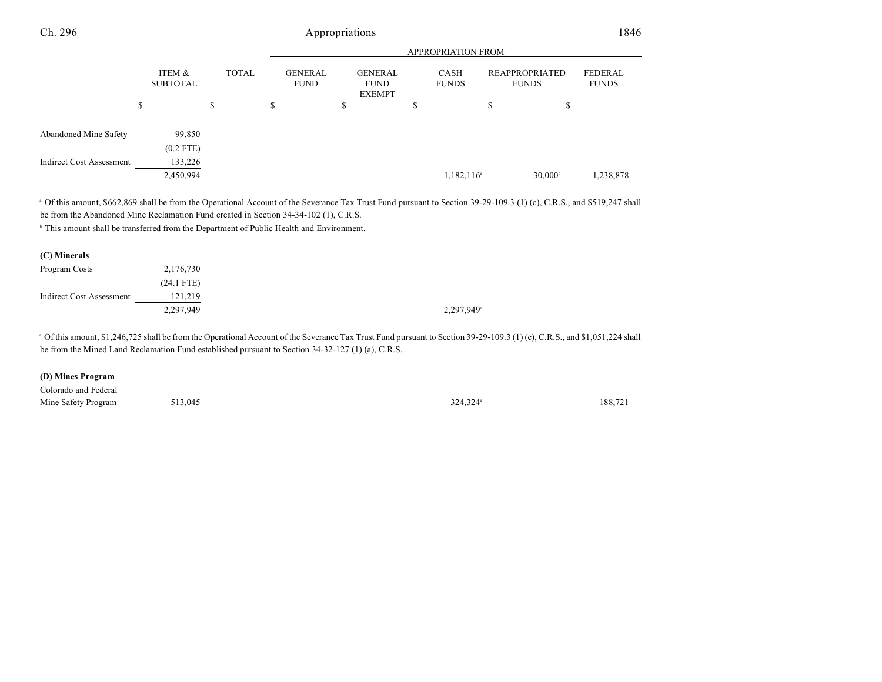|                                 |                           |              |                               | <b>APPROPRIATION FROM</b>                      |                        |                                |                         |  |
|---------------------------------|---------------------------|--------------|-------------------------------|------------------------------------------------|------------------------|--------------------------------|-------------------------|--|
|                                 | ITEM &<br><b>SUBTOTAL</b> | <b>TOTAL</b> | <b>GENERAL</b><br><b>FUND</b> | <b>GENERAL</b><br><b>FUND</b><br><b>EXEMPT</b> | CASH<br><b>FUNDS</b>   | REAPPROPRIATED<br><b>FUNDS</b> | FEDERAL<br><b>FUNDS</b> |  |
|                                 | \$                        | \$           | \$                            | \$                                             | Ф                      | \$<br>\$                       |                         |  |
| Abandoned Mine Safety           | 99,850<br>$(0.2$ FTE)     |              |                               |                                                |                        |                                |                         |  |
| <b>Indirect Cost Assessment</b> | 133,226<br>2,450,994      |              |                               |                                                | 1,182,116 <sup>a</sup> | $30,000^{\circ}$               | 1,238,878               |  |

<sup>a</sup> Of this amount, \$662,869 shall be from the Operational Account of the Severance Tax Trust Fund pursuant to Section 39-29-109.3 (1) (c), C.R.S., and \$519,247 shall be from the Abandoned Mine Reclamation Fund created in Section 34-34-102 (1), C.R.S.

<sup>b</sup> This amount shall be transferred from the Department of Public Health and Environment.

| (C) Minerals                    |              |                          |
|---------------------------------|--------------|--------------------------|
| Program Costs                   | 2,176,730    |                          |
|                                 | $(24.1$ FTE) |                          |
| <b>Indirect Cost Assessment</b> | 121,219      |                          |
|                                 | 2,297,949    | $2,297,949$ <sup>a</sup> |

<sup>a</sup> Of this amount, \$1,246,725 shall be from the Operational Account of the Severance Tax Trust Fund pursuant to Section 39-29-109.3 (1) (c), C.R.S., and \$1,051,224 shall be from the Mined Land Reclamation Fund established pursuant to Section 34-32-127 (1) (a), C.R.S.

#### **(D) Mines Program**

| Colorado and Federal |         |                      |         |
|----------------------|---------|----------------------|---------|
| Mine Safety Program  | 513,045 | 324.324 <sup>a</sup> | 188.721 |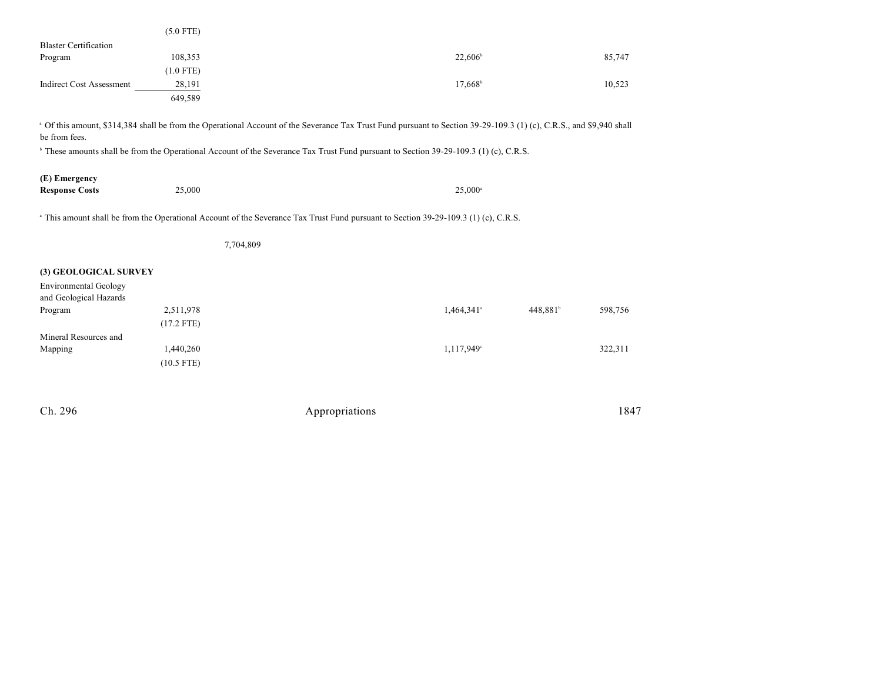|                              | $(5.0$ FTE) |                  |        |
|------------------------------|-------------|------------------|--------|
| <b>Blaster Certification</b> |             |                  |        |
| Program                      | 108,353     | $22,606^{\circ}$ | 85,747 |
|                              | $(1.0$ FTE) |                  |        |
| Indirect Cost Assessment     | 28,191      | $17,668^{\circ}$ | 10,523 |
|                              | 649,589     |                  |        |

<sup>a</sup> Of this amount, \$314,384 shall be from the Operational Account of the Severance Tax Trust Fund pursuant to Section 39-29-109.3 (1) (c), C.R.S., and \$9,940 shall be from fees.

<sup>b</sup> These amounts shall be from the Operational Account of the Severance Tax Trust Fund pursuant to Section 39-29-109.3 (1) (c), C.R.S.

| (E) Emergency         |        |                  |
|-----------------------|--------|------------------|
| <b>Response Costs</b> | 25,000 | $25.000^{\circ}$ |

<sup>a</sup> This amount shall be from the Operational Account of the Severance Tax Trust Fund pursuant to Section 39-29-109.3 (1) (c), C.R.S.

|                                                                                 |                           | 7,704,809 |                        |                      |         |
|---------------------------------------------------------------------------------|---------------------------|-----------|------------------------|----------------------|---------|
| (3) GEOLOGICAL SURVEY<br><b>Environmental Geology</b><br>and Geological Hazards |                           |           |                        |                      |         |
| Program                                                                         | 2,511,978<br>$(17.2$ FTE) |           | 1,464,341 <sup>a</sup> | 448,881 <sup>b</sup> | 598,756 |
| Mineral Resources and<br>Mapping                                                | 1,440,260<br>$(10.5$ FTE) |           | 1,117,949 <sup>c</sup> |                      | 322,311 |
|                                                                                 |                           |           |                        |                      |         |

| Ch. 296 | Appropriations | 1847 |
|---------|----------------|------|
|---------|----------------|------|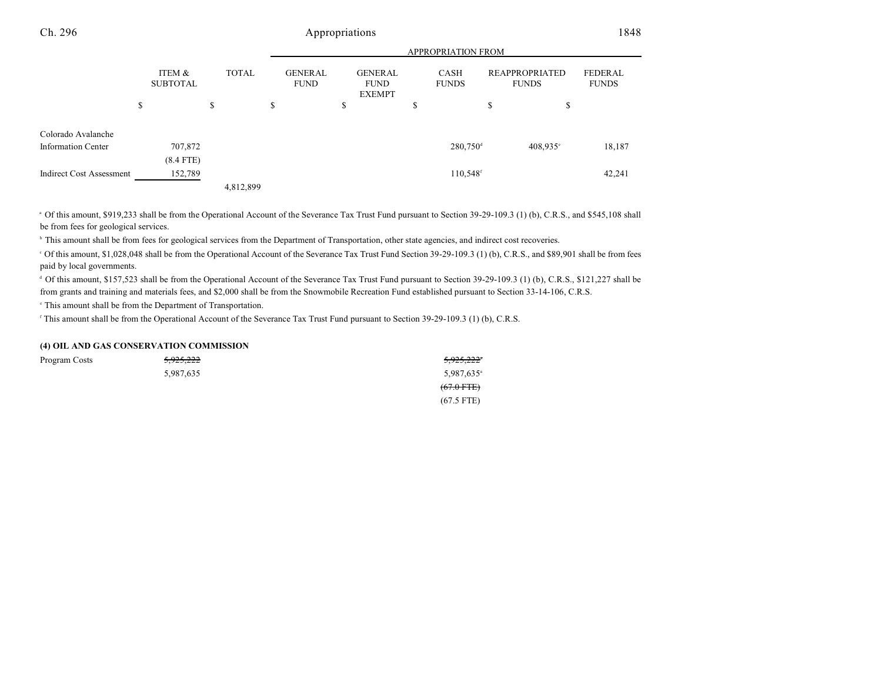|                                 |                           |              | <b>APPROPRIATION FROM</b>     |                                                |                             |                                |                                |  |  |
|---------------------------------|---------------------------|--------------|-------------------------------|------------------------------------------------|-----------------------------|--------------------------------|--------------------------------|--|--|
|                                 | ITEM &<br><b>SUBTOTAL</b> | <b>TOTAL</b> | <b>GENERAL</b><br><b>FUND</b> | <b>GENERAL</b><br><b>FUND</b><br><b>EXEMPT</b> | <b>CASH</b><br><b>FUNDS</b> | REAPPROPRIATED<br><b>FUNDS</b> | <b>FEDERAL</b><br><b>FUNDS</b> |  |  |
|                                 | \$                        | \$           | S                             | \$                                             | \$                          | \$<br>\$                       |                                |  |  |
| Colorado Avalanche              |                           |              |                               |                                                |                             |                                |                                |  |  |
| <b>Information Center</b>       | 707,872                   |              |                               |                                                | $280,750$ <sup>d</sup>      | 408,935°                       | 18,187                         |  |  |
|                                 | $(8.4$ FTE)               |              |                               |                                                |                             |                                |                                |  |  |
| <b>Indirect Cost Assessment</b> | 152,789                   |              |                               |                                                | 110,548 <sup>f</sup>        |                                | 42,241                         |  |  |
|                                 |                           | 4,812,899    |                               |                                                |                             |                                |                                |  |  |

<sup>a</sup> Of this amount, \$919,233 shall be from the Operational Account of the Severance Tax Trust Fund pursuant to Section 39-29-109.3 (1) (b), C.R.S., and \$545,108 shall be from fees for geological services.

<sup>b</sup> This amount shall be from fees for geological services from the Department of Transportation, other state agencies, and indirect cost recoveries.

of this amount, \$1,028,048 shall be from the Operational Account of the Severance Tax Trust Fund Section 39-29-109.3 (1) (b), C.R.S., and \$89,901 shall be from fees paid by local governments.

<sup>d</sup> Of this amount, \$157,523 shall be from the Operational Account of the Severance Tax Trust Fund pursuant to Section 39-29-109.3 (1) (b), C.R.S., \$121,227 shall be from grants and training and materials fees, and \$2,000 shall be from the Snowmobile Recreation Fund established pursuant to Section 33-14-106, C.R.S.

<sup>e</sup> This amount shall be from the Department of Transportation.

<sup>f</sup> This amount shall be from the Operational Account of the Severance Tax Trust Fund pursuant to Section 39-29-109.3 (1) (b), C.R.S.

#### **(4) OIL AND GAS CONSERVATION COMMISSION**

| Program Costs | <del>5,925,222</del> | 5,925,222            |
|---------------|----------------------|----------------------|
|               | 5,987,635            | 5,987,635            |
|               |                      | $(67.0 \text{ FFE})$ |
|               |                      | $(67.5$ FTE)         |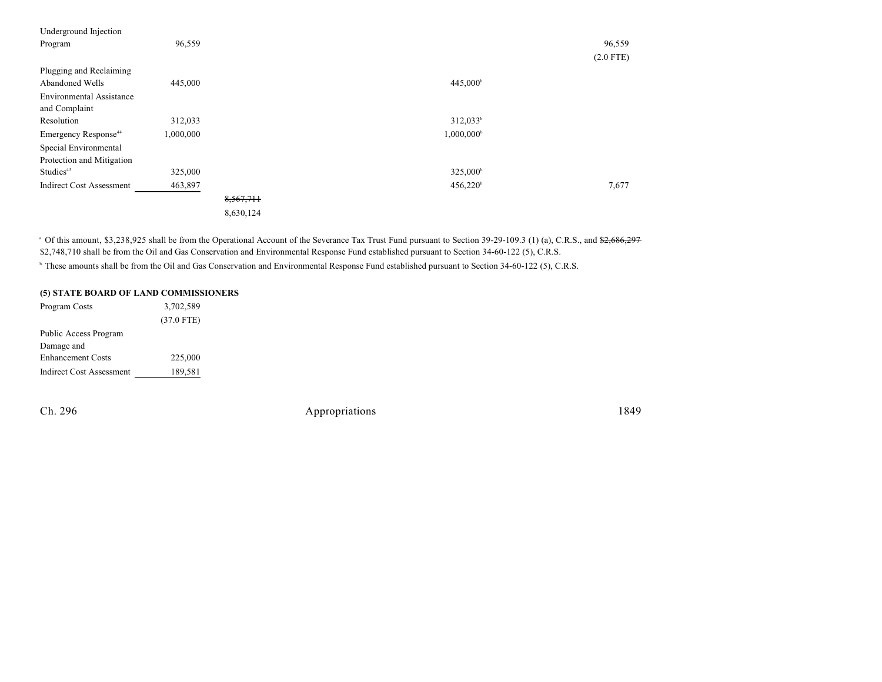| Underground Injection            |           |           |                      |             |
|----------------------------------|-----------|-----------|----------------------|-------------|
| Program                          | 96,559    |           |                      | 96,559      |
|                                  |           |           |                      | $(2.0$ FTE) |
| Plugging and Reclaiming          |           |           |                      |             |
| Abandoned Wells                  | 445,000   |           | 445,000 <sup>b</sup> |             |
| <b>Environmental Assistance</b>  |           |           |                      |             |
| and Complaint                    |           |           |                      |             |
| Resolution                       | 312,033   |           | $312,033^b$          |             |
| Emergency Response <sup>44</sup> | 1,000,000 |           | $1,000,000^{\circ}$  |             |
| Special Environmental            |           |           |                      |             |
| Protection and Mitigation        |           |           |                      |             |
| Studies <sup>45</sup>            | 325,000   |           | 325,000 <sup>b</sup> |             |
| <b>Indirect Cost Assessment</b>  | 463,897   |           | $456,220^{\circ}$    | 7,677       |
|                                  |           | 8,567,711 |                      |             |
|                                  |           | 8,630,124 |                      |             |
|                                  |           |           |                      |             |

<sup>a</sup> Of this amount, \$3,238,925 shall be from the Operational Account of the Severance Tax Trust Fund pursuant to Section 39-29-109.3 (1) (a), C.R.S., and \$2,686,297 \$2,748,710 shall be from the Oil and Gas Conservation and Environmental Response Fund established pursuant to Section 34-60-122 (5), C.R.S.

<sup>b</sup> These amounts shall be from the Oil and Gas Conservation and Environmental Response Fund established pursuant to Section 34-60-122 (5), C.R.S.

#### **(5) STATE BOARD OF LAND COMMISSIONERS**

| Program Costs                   | 3,702,589    |
|---------------------------------|--------------|
|                                 | $(37.0$ FTE) |
| Public Access Program           |              |
| Damage and                      |              |
| <b>Enhancement Costs</b>        | 225,000      |
| <b>Indirect Cost Assessment</b> | 189,581      |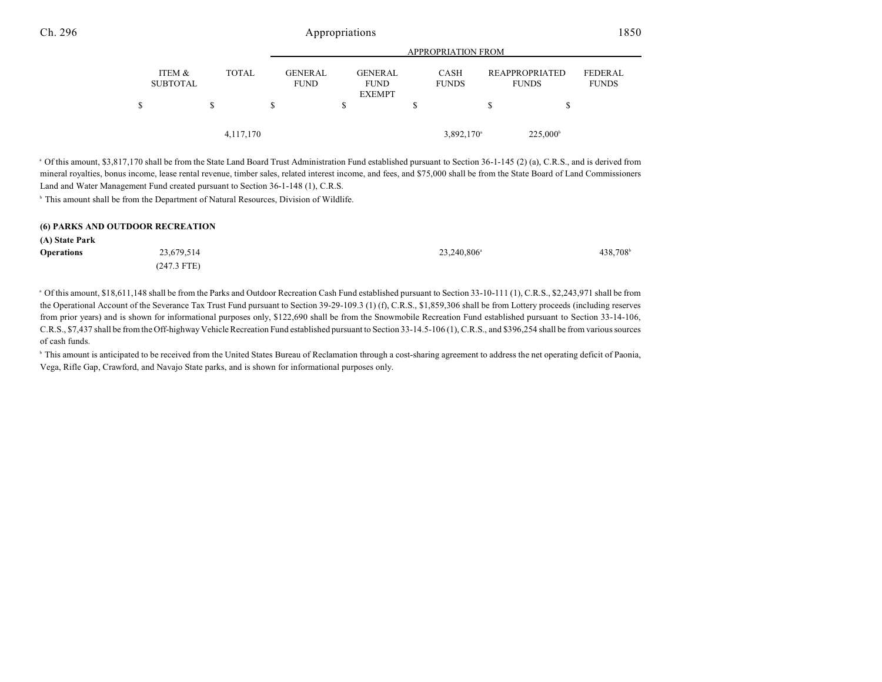|                           |   |              | <b>APPROPRIATION FROM</b> |                               |  |                                                |  |                             |   |                                       |                         |
|---------------------------|---|--------------|---------------------------|-------------------------------|--|------------------------------------------------|--|-----------------------------|---|---------------------------------------|-------------------------|
| ITEM &<br><b>SUBTOTAL</b> |   | <b>TOTAL</b> |                           | <b>GENERAL</b><br><b>FUND</b> |  | <b>GENERAL</b><br><b>FUND</b><br><b>EXEMPT</b> |  | <b>CASH</b><br><b>FUNDS</b> |   | <b>REAPPROPRIATED</b><br><b>FUNDS</b> | FEDERAL<br><b>FUNDS</b> |
| S                         | S |              | S                         |                               |  |                                                |  |                             | S |                                       |                         |
|                           |   | 4, 117, 170  |                           |                               |  |                                                |  | $3,892,170$ <sup>a</sup>    |   | 225,000 <sup>b</sup>                  |                         |

<sup>a</sup> Of this amount, \$3,817,170 shall be from the State Land Board Trust Administration Fund established pursuant to Section 36-1-145 (2) (a), C.R.S., and is derived from mineral royalties, bonus income, lease rental revenue, timber sales, related interest income, and fees, and \$75,000 shall be from the State Board of Land Commissioners Land and Water Management Fund created pursuant to Section 36-1-148 (1), C.R.S.

<sup>b</sup> This amount shall be from the Department of Natural Resources, Division of Wildlife.

| (6) PARKS AND OUTDOOR RECREATION |               |                         |         |  |  |  |  |  |
|----------------------------------|---------------|-------------------------|---------|--|--|--|--|--|
| (A) State Park                   |               |                         |         |  |  |  |  |  |
| <b>Operations</b>                | 23.679.514    | 23.240.806 <sup>a</sup> | 438.708 |  |  |  |  |  |
|                                  | $(247.3$ FTE) |                         |         |  |  |  |  |  |

Of this amount, \$18,611,148 shall be from the Parks and Outdoor Recreation Cash Fund established pursuant to Section 33-10-111 (1), C.R.S., \$2,243,971 shall be from <sup>a</sup> the Operational Account of the Severance Tax Trust Fund pursuant to Section 39-29-109.3 (1) (f), C.R.S., \$1,859,306 shall be from Lottery proceeds (including reserves from prior years) and is shown for informational purposes only, \$122,690 shall be from the Snowmobile Recreation Fund established pursuant to Section 33-14-106, C.R.S., \$7,437 shall be from the Off-highway VehicleRecreation Fund established pursuant to Section 33-14.5-106 (1), C.R.S., and \$396,254 shall be from various sources of cash funds.

<sup>6</sup> This amount is anticipated to be received from the United States Bureau of Reclamation through a cost-sharing agreement to address the net operating deficit of Paonia, Vega, Rifle Gap, Crawford, and Navajo State parks, and is shown for informational purposes only.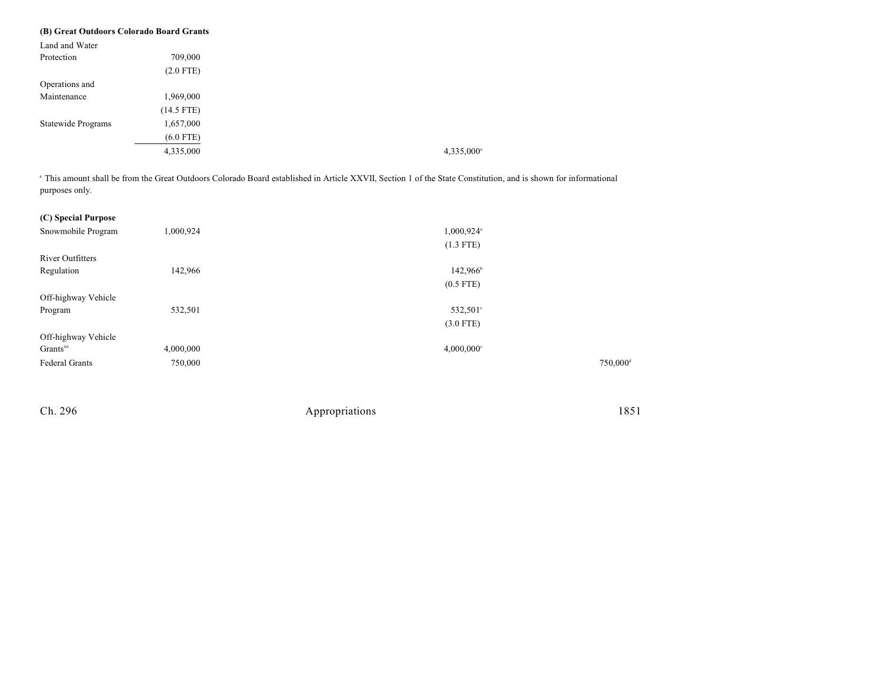| (B) Great Outdoors Colorado Board Grants |              |
|------------------------------------------|--------------|
| Land and Water                           |              |
| Protection                               | 709,000      |
|                                          | $(2.0$ FTE)  |
| Operations and                           |              |
| Maintenance                              | 1,969,000    |
|                                          | $(14.5$ FTE) |
| Statewide Programs                       | 1,657,000    |
|                                          | $(6.0$ FTE)  |
|                                          | 4,335,000    |

<sup>a</sup> This amount shall be from the Great Outdoors Colorado Board established in Article XXVII, Section 1 of the State Constitution, and is shown for informational purposes only.

| (C) Special Purpose     |           |                          |                      |
|-------------------------|-----------|--------------------------|----------------------|
| Snowmobile Program      | 1,000,924 | 1,000,924 <sup>a</sup>   |                      |
|                         |           | $(1.3$ FTE)              |                      |
| <b>River Outfitters</b> |           |                          |                      |
| Regulation              | 142,966   | 142,966 <sup>b</sup>     |                      |
|                         |           | $(0.5$ FTE)              |                      |
| Off-highway Vehicle     |           |                          |                      |
| Program                 | 532,501   | 532,501°                 |                      |
|                         |           | $(3.0$ FTE)              |                      |
| Off-highway Vehicle     |           |                          |                      |
| Grants <sup>46</sup>    | 4,000,000 | $4,000,000$ <sup>c</sup> |                      |
| <b>Federal Grants</b>   | 750,000   |                          | 750,000 <sup>d</sup> |
|                         |           |                          |                      |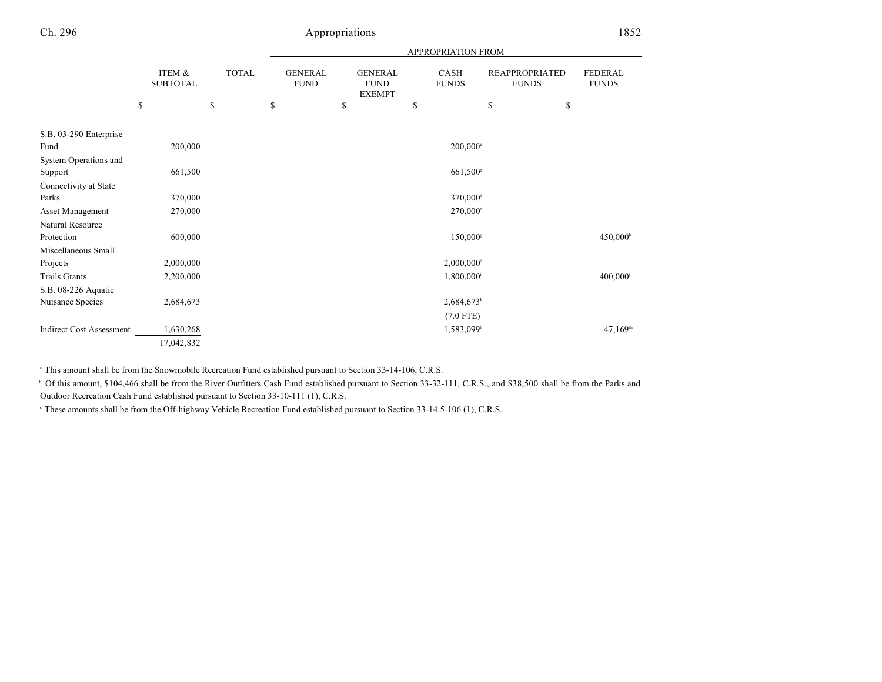|                                 |                                 |                    | APPROPRIATION FROM                  |    |                                                |    |                          |    |                                             |                                |
|---------------------------------|---------------------------------|--------------------|-------------------------------------|----|------------------------------------------------|----|--------------------------|----|---------------------------------------------|--------------------------------|
|                                 | ITEM &<br><b>SUBTOTAL</b><br>\$ | <b>TOTAL</b><br>\$ | <b>GENERAL</b><br><b>FUND</b><br>\$ | \$ | <b>GENERAL</b><br><b>FUND</b><br><b>EXEMPT</b> | \$ | CASH<br><b>FUNDS</b>     | \$ | <b>REAPPROPRIATED</b><br><b>FUNDS</b><br>\$ | <b>FEDERAL</b><br><b>FUNDS</b> |
|                                 |                                 |                    |                                     |    |                                                |    |                          |    |                                             |                                |
| S.B. 03-290 Enterprise          |                                 |                    |                                     |    |                                                |    |                          |    |                                             |                                |
| Fund                            | 200,000                         |                    |                                     |    |                                                |    | $200,000$ <sup>e</sup>   |    |                                             |                                |
| System Operations and           |                                 |                    |                                     |    |                                                |    |                          |    |                                             |                                |
| Support                         | 661,500                         |                    |                                     |    |                                                |    | 661,500 <sup>f</sup>     |    |                                             |                                |
| Connectivity at State           |                                 |                    |                                     |    |                                                |    |                          |    |                                             |                                |
| Parks                           | 370,000                         |                    |                                     |    |                                                |    | 370,000f                 |    |                                             |                                |
| <b>Asset Management</b>         | 270,000                         |                    |                                     |    |                                                |    | $270,000$ <sup>f</sup>   |    |                                             |                                |
| Natural Resource                |                                 |                    |                                     |    |                                                |    |                          |    |                                             |                                |
| Protection                      | 600,000                         |                    |                                     |    |                                                |    | 150,000 <sup>s</sup>     |    |                                             | 450,000h                       |
| Miscellaneous Small             |                                 |                    |                                     |    |                                                |    |                          |    |                                             |                                |
| Projects                        | 2,000,000                       |                    |                                     |    |                                                |    | $2,000,000$ <sup>f</sup> |    |                                             |                                |
| <b>Trails Grants</b>            | 2,200,000                       |                    |                                     |    |                                                |    | 1,800,000 <sup>i</sup>   |    |                                             | $400,000$ <sup>j</sup>         |
| S.B. 08-226 Aquatic             |                                 |                    |                                     |    |                                                |    |                          |    |                                             |                                |
| Nuisance Species                | 2,684,673                       |                    |                                     |    |                                                |    | $2,684,673$ <sup>k</sup> |    |                                             |                                |
|                                 |                                 |                    |                                     |    |                                                |    | $(7.0$ FTE)              |    |                                             |                                |
| <b>Indirect Cost Assessment</b> | 1,630,268                       |                    |                                     |    |                                                |    | 1,583,099                |    |                                             | $47,169^m$                     |
|                                 | 17,042,832                      |                    |                                     |    |                                                |    |                          |    |                                             |                                |

<sup>a</sup> This amount shall be from the Snowmobile Recreation Fund established pursuant to Section 33-14-106, C.R.S.

<sup>b</sup> Of this amount, \$104,466 shall be from the River Outfitters Cash Fund established pursuant to Section 33-32-111, C.R.S., and \$38,500 shall be from the Parks and Outdoor Recreation Cash Fund established pursuant to Section 33-10-111 (1), C.R.S.

<sup>e</sup> These amounts shall be from the Off-highway Vehicle Recreation Fund established pursuant to Section 33-14.5-106 (1), C.R.S.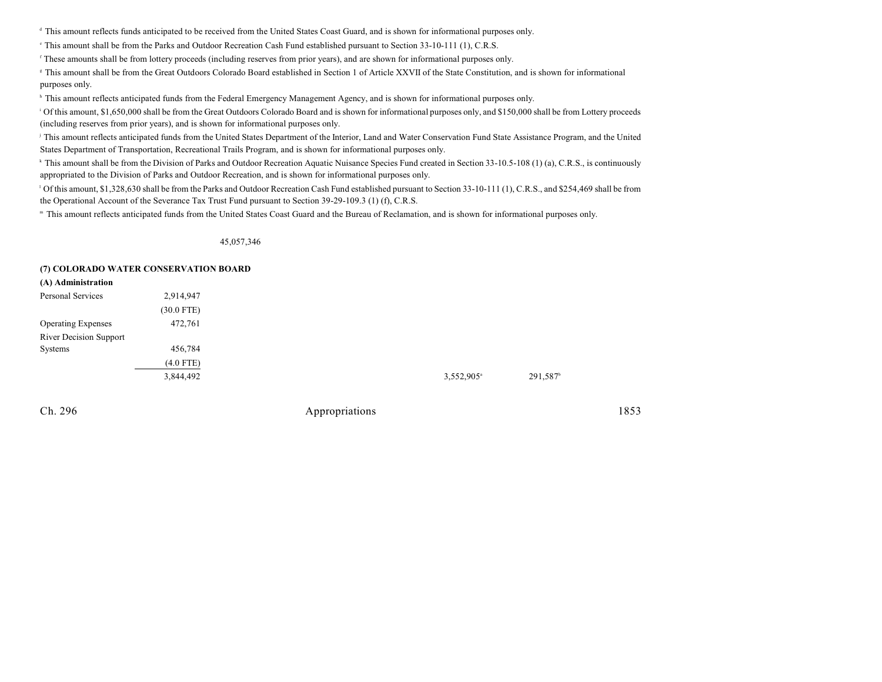<sup>d</sup> This amount reflects funds anticipated to be received from the United States Coast Guard, and is shown for informational purposes only.

<sup>e</sup> This amount shall be from the Parks and Outdoor Recreation Cash Fund established pursuant to Section 33-10-111 (1), C.R.S.

These amounts shall be from lottery proceeds (including reserves from prior years), and are shown for informational purposes only.

<sup>#</sup> This amount shall be from the Great Outdoors Colorado Board established in Section 1 of Article XXVII of the State Constitution, and is shown for informational purposes only.

<sup>h</sup> This amount reflects anticipated funds from the Federal Emergency Management Agency, and is shown for informational purposes only.

<sup>1</sup> Of this amount, \$1,650,000 shall be from the Great Outdoors Colorado Board and is shown for informational purposes only, and \$150,000 shall be from Lottery proceeds (including reserves from prior years), and is shown for informational purposes only.

<sup>j</sup> This amount reflects anticipated funds from the United States Department of the Interior, Land and Water Conservation Fund State Assistance Program, and the United States Department of Transportation, Recreational Trails Program, and is shown for informational purposes only.

<sup>k</sup> This amount shall be from the Division of Parks and Outdoor Recreation Aquatic Nuisance Species Fund created in Section 33-10.5-108 (1) (a), C.R.S., is continuously appropriated to the Division of Parks and Outdoor Recreation, and is shown for informational purposes only.

<sup>1</sup> Of this amount, \$1,328,630 shall be from the Parks and Outdoor Recreation Cash Fund established pursuant to Section 33-10-111 (1), C.R.S., and \$254,469 shall be from the Operational Account of the Severance Tax Trust Fund pursuant to Section 39-29-109.3 (1) (f), C.R.S.

" This amount reflects anticipated funds from the United States Coast Guard and the Bureau of Reclamation, and is shown for informational purposes only.

45,057,346

#### **(7) COLORADO WATER CONSERVATION BOARD**

| (A) Administration            |              |
|-------------------------------|--------------|
| Personal Services             | 2,914,947    |
|                               | $(30.0$ FTE) |
| <b>Operating Expenses</b>     | 472,761      |
| <b>River Decision Support</b> |              |
| Systems                       | 456,784      |
|                               | $(4.0$ FTE)  |
|                               | 3,844,492    |
|                               |              |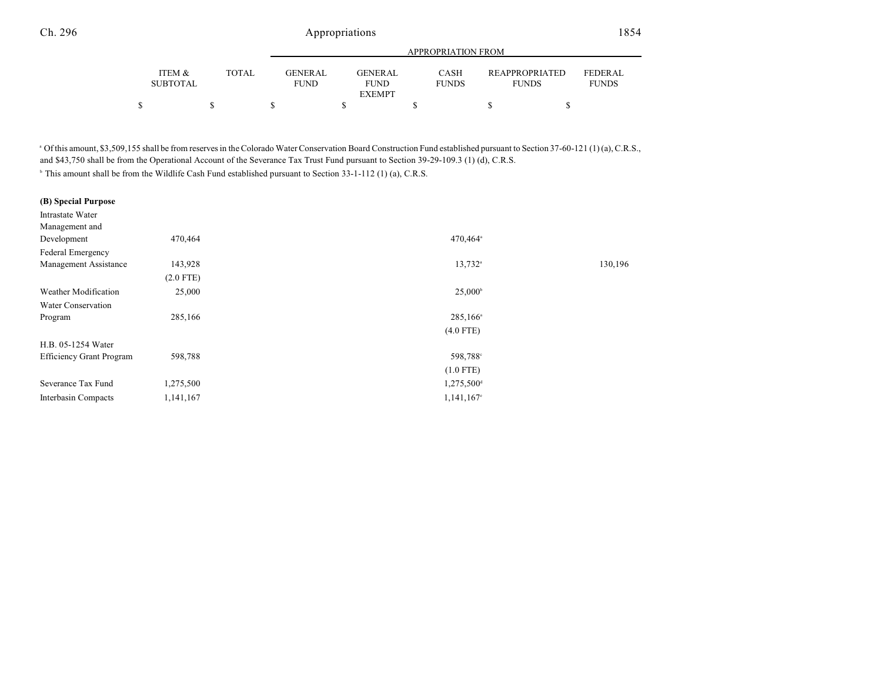|                           |              |                        |                               | <b>APPROPRIATION FROM</b>   |                                       |                         |  |
|---------------------------|--------------|------------------------|-------------------------------|-----------------------------|---------------------------------------|-------------------------|--|
| ITEM &<br><b>SUBTOTAL</b> | <b>TOTAL</b> | GENERAL<br><b>FUND</b> | <b>GENERAL</b><br><b>FUND</b> | <b>CASH</b><br><b>FUNDS</b> | <b>REAPPROPRIATED</b><br><b>FUNDS</b> | FEDERAL<br><b>FUNDS</b> |  |
|                           |              |                        | <b>EXEMPT</b>                 |                             |                                       |                         |  |
|                           |              |                        |                               |                             |                                       |                         |  |

Of this amount, \$3,509,155 shall be from reserves in the Colorado Water Conservation Board Construction Fund established pursuant to Section 37-60-121 (1) (a), C.R.S., <sup>a</sup> and \$43,750 shall be from the Operational Account of the Severance Tax Trust Fund pursuant to Section 39-29-109.3 (1) (d), C.R.S.

<sup>b</sup> This amount shall be from the Wildlife Cash Fund established pursuant to Section 33-1-112 (1) (a), C.R.S.

| (B) Special Purpose      |             |                          |         |
|--------------------------|-------------|--------------------------|---------|
| Intrastate Water         |             |                          |         |
| Management and           |             |                          |         |
| Development              | 470,464     | 470,464 <sup>a</sup>     |         |
| Federal Emergency        |             |                          |         |
| Management Assistance    | 143,928     | $13,732$ <sup>a</sup>    | 130,196 |
|                          | $(2.0$ FTE) |                          |         |
| Weather Modification     | 25,000      | $25,000^{\circ}$         |         |
| Water Conservation       |             |                          |         |
| Program                  | 285,166     | $285,166^{\circ}$        |         |
|                          |             | $(4.0$ FTE)              |         |
| H.B. 05-1254 Water       |             |                          |         |
| Efficiency Grant Program | 598,788     | 598,788°                 |         |
|                          |             | $(1.0$ FTE)              |         |
| Severance Tax Fund       | 1,275,500   | $1,275,500$ <sup>d</sup> |         |
| Interbasin Compacts      | 1,141,167   | $1,141,167$ <sup>e</sup> |         |
|                          |             |                          |         |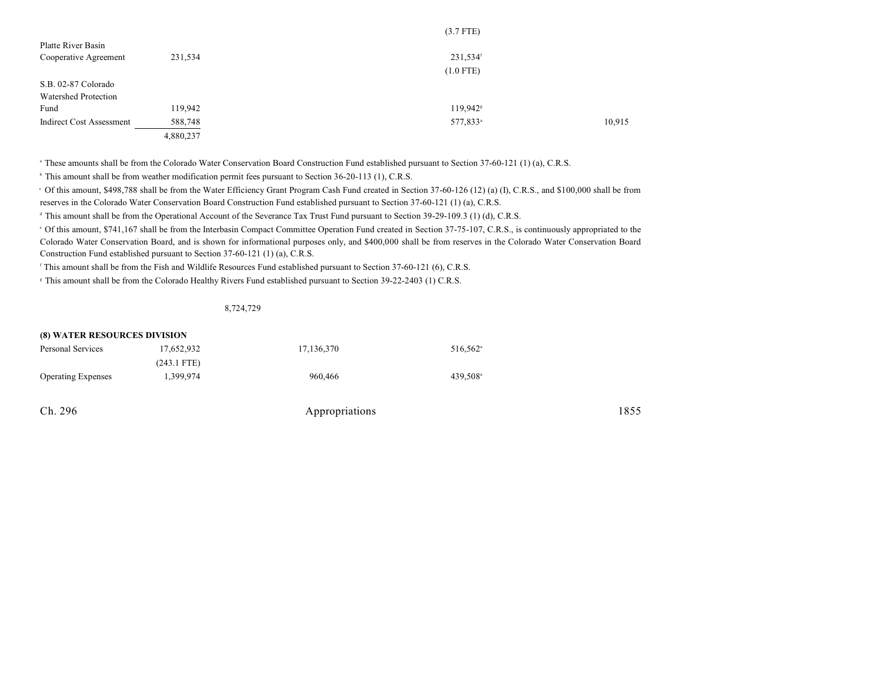|                             |           | $(3.7$ FTE)          |        |
|-----------------------------|-----------|----------------------|--------|
| Platte River Basin          |           |                      |        |
| Cooperative Agreement       | 231,534   | 231,534 <sup>f</sup> |        |
|                             |           | $(1.0$ FTE)          |        |
| S.B. 02-87 Colorado         |           |                      |        |
| <b>Watershed Protection</b> |           |                      |        |
| Fund                        | 119,942   | 119,942 <sup>s</sup> |        |
| Indirect Cost Assessment    | 588,748   | 577,833 <sup>a</sup> | 10,915 |
|                             | 4,880,237 |                      |        |

<sup>a</sup> These amounts shall be from the Colorado Water Conservation Board Construction Fund established pursuant to Section 37-60-121 (1) (a), C.R.S.

<sup>b</sup> This amount shall be from weather modification permit fees pursuant to Section 36-20-113 (1), C.R.S.

<sup>c</sup> Of this amount, \$498,788 shall be from the Water Efficiency Grant Program Cash Fund created in Section 37-60-126 (12) (a) (I), C.R.S., and \$100,000 shall be from reserves in the Colorado Water Conservation Board Construction Fund established pursuant to Section 37-60-121 (1) (a), C.R.S.

<sup>d</sup> This amount shall be from the Operational Account of the Severance Tax Trust Fund pursuant to Section 39-29-109.3 (1) (d), C.R.S.

of this amount, \$741,167 shall be from the Interbasin Compact Committee Operation Fund created in Section 37-75-107, C.R.S., is continuously appropriated to the Colorado Water Conservation Board, and is shown for informational purposes only, and \$400,000 shall be from reserves in the Colorado Water Conservation Board Construction Fund established pursuant to Section 37-60-121 (1) (a), C.R.S.

<sup>f</sup> This amount shall be from the Fish and Wildlife Resources Fund established pursuant to Section 37-60-121 (6), C.R.S.

<sup>8</sup> This amount shall be from the Colorado Healthy Rivers Fund established pursuant to Section 39-22-2403 (1) C.R.S.

8,724,729

| <b>(8) WATER RESOURCES DIVISION</b> |               |            |                      |  |  |  |  |
|-------------------------------------|---------------|------------|----------------------|--|--|--|--|
| Personal Services                   | 17,652,932    | 17,136,370 | 516.562 <sup>a</sup> |  |  |  |  |
|                                     | $(243.1$ FTE) |            |                      |  |  |  |  |
| <b>Operating Expenses</b>           | 1,399,974     | 960,466    | 439.508 <sup>a</sup> |  |  |  |  |
|                                     |               |            |                      |  |  |  |  |
|                                     |               |            |                      |  |  |  |  |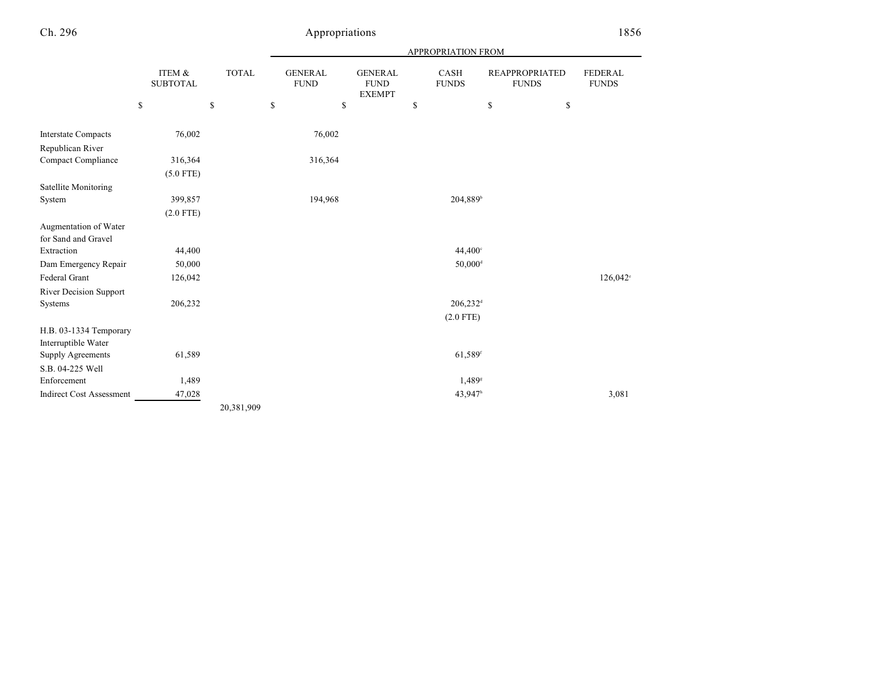|                                 | APPROPRIATION FROM        |              |                               |                                                |                        |                                       |                                |
|---------------------------------|---------------------------|--------------|-------------------------------|------------------------------------------------|------------------------|---------------------------------------|--------------------------------|
|                                 | ITEM &<br><b>SUBTOTAL</b> | <b>TOTAL</b> | <b>GENERAL</b><br><b>FUND</b> | <b>GENERAL</b><br><b>FUND</b><br><b>EXEMPT</b> | CASH<br><b>FUNDS</b>   | <b>REAPPROPRIATED</b><br><b>FUNDS</b> | <b>FEDERAL</b><br><b>FUNDS</b> |
|                                 | ${\mathbb S}$             | \$           | \$                            | \$                                             | \$                     | $\mathsf{\$}$<br>\$                   |                                |
| <b>Interstate Compacts</b>      | 76,002                    |              | 76,002                        |                                                |                        |                                       |                                |
| Republican River                |                           |              |                               |                                                |                        |                                       |                                |
| Compact Compliance              | 316,364                   |              | 316,364                       |                                                |                        |                                       |                                |
|                                 | $(5.0$ FTE)               |              |                               |                                                |                        |                                       |                                |
| Satellite Monitoring            |                           |              |                               |                                                |                        |                                       |                                |
| System                          | 399,857                   |              | 194,968                       |                                                | 204,889 <sup>b</sup>   |                                       |                                |
|                                 | $(2.0$ FTE)               |              |                               |                                                |                        |                                       |                                |
| Augmentation of Water           |                           |              |                               |                                                |                        |                                       |                                |
| for Sand and Gravel             |                           |              |                               |                                                |                        |                                       |                                |
| Extraction                      | 44,400                    |              |                               |                                                | 44,400°                |                                       |                                |
| Dam Emergency Repair            | 50,000                    |              |                               |                                                | $50,000$ <sup>d</sup>  |                                       |                                |
| Federal Grant                   | 126,042                   |              |                               |                                                |                        |                                       | $126,042^{\circ}$              |
| River Decision Support          |                           |              |                               |                                                |                        |                                       |                                |
| Systems                         | 206,232                   |              |                               |                                                | $206,232$ <sup>d</sup> |                                       |                                |
|                                 |                           |              |                               |                                                | $(2.0$ FTE)            |                                       |                                |
| H.B. 03-1334 Temporary          |                           |              |                               |                                                |                        |                                       |                                |
| Interruptible Water             |                           |              |                               |                                                |                        |                                       |                                |
| Supply Agreements               | 61,589                    |              |                               |                                                | 61,589f                |                                       |                                |
| S.B. 04-225 Well                |                           |              |                               |                                                |                        |                                       |                                |
| Enforcement                     | 1,489                     |              |                               |                                                | 1,489 <sup>s</sup>     |                                       |                                |
| <b>Indirect Cost Assessment</b> | 47,028                    |              |                               |                                                | 43,947h                |                                       | 3,081                          |
|                                 |                           | 20,381,909   |                               |                                                |                        |                                       |                                |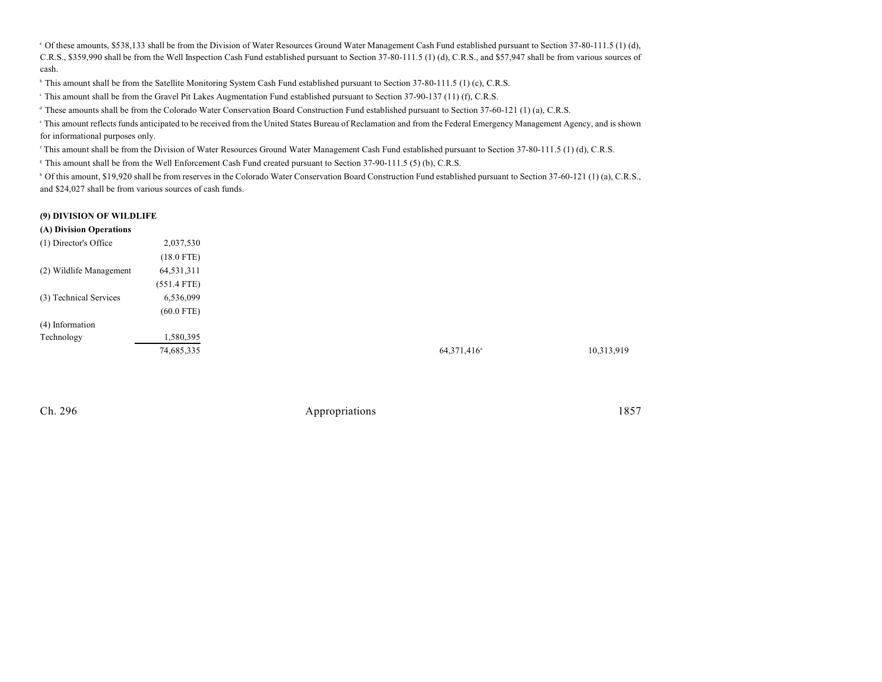<sup>a</sup> Of these amounts, \$538,133 shall be from the Division of Water Resources Ground Water Management Cash Fund established pursuant to Section 37-80-111.5 (1) (d), C.R.S., \$359,990 shall be from the Well Inspection Cash Fund established pursuant to Section 37-80-111.5 (1) (d), C.R.S., and \$57,947 shall be from various sources of cash.

<sup>b</sup> This amount shall be from the Satellite Monitoring System Cash Fund established pursuant to Section 37-80-111.5 (1) (c), C.R.S.

<sup>e</sup> This amount shall be from the Gravel Pit Lakes Augmentation Fund established pursuant to Section 37-90-137 (11) (f), C.R.S.

<sup>d</sup> These amounts shall be from the Colorado Water Conservation Board Construction Fund established pursuant to Section 37-60-121 (1) (a), C.R.S.

This amount reflects funds anticipated to be received from the United States Bureau of Reclamation and from the Federal Emergency Management Agency, and is shown for informational purposes only.

<sup>r</sup> This amount shall be from the Division of Water Resources Ground Water Management Cash Fund established pursuant to Section 37-80-111.5 (1) (d), C.R.S.

<sup>8</sup> This amount shall be from the Well Enforcement Cash Fund created pursuant to Section 37-90-111.5 (5) (b), C.R.S.

<sup>h</sup> Of this amount, \$19,920 shall be from reserves in the Colorado Water Conservation Board Construction Fund established pursuant to Section 37-60-121 (1) (a), C.R.S., and \$24,027 shall be from various sources of cash funds.

#### **(9) DIVISION OF WILDLIFE**

#### **(A) Division Operations**

| (1) Director's Office   | 2,037,530     |
|-------------------------|---------------|
|                         | $(18.0$ FTE)  |
| (2) Wildlife Management | 64,531,311    |
|                         | $(551.4$ FTE) |
| (3) Technical Services  | 6,536,099     |
|                         | $(60.0$ FTE)  |
| (4) Information         |               |
| Technology              | 1,580,395     |
|                         | 74,685,335    |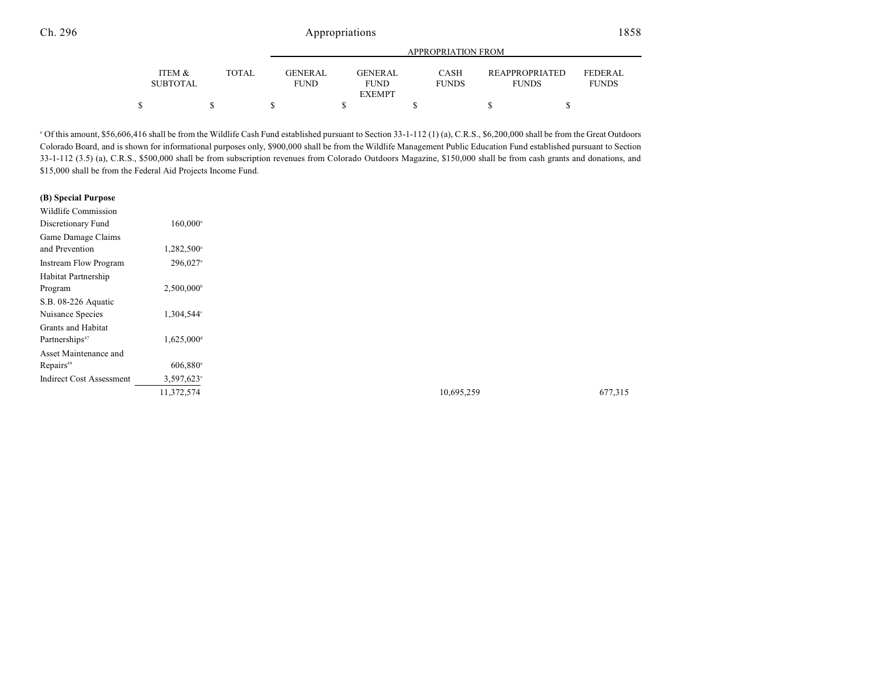|                           |              | APPROPRIATION FROM            |                                         |                      |                                       |                                |  |
|---------------------------|--------------|-------------------------------|-----------------------------------------|----------------------|---------------------------------------|--------------------------------|--|
| ITEM &<br><b>SUBTOTAL</b> | <b>TOTAL</b> | <b>GENERAL</b><br><b>FUND</b> | GENERAL<br><b>FUND</b><br><b>EXEMPT</b> | CASH<br><b>FUNDS</b> | <b>REAPPROPRIATED</b><br><b>FUNDS</b> | <b>FEDERAL</b><br><b>FUNDS</b> |  |
|                           |              |                               |                                         |                      |                                       |                                |  |
|                           |              |                               |                                         |                      |                                       |                                |  |

<sup>a</sup> Of this amount, \$56,606,416 shall be from the Wildlife Cash Fund established pursuant to Section 33-1-112 (1) (a), C.R.S., \$6,200,000 shall be from the Great Outdoors Colorado Board, and is shown for informational purposes only, \$900,000 shall be from the Wildlife Management Public Education Fund established pursuant to Section 33-1-112 (3.5) (a), C.R.S., \$500,000 shall be from subscription revenues from Colorado Outdoors Magazine, \$150,000 shall be from cash grants and donations, and \$15,000 shall be from the Federal Aid Projects Income Fund.

#### **(B) Special Purpose**

| Wildlife Commission             |                        |
|---------------------------------|------------------------|
| Discretionary Fund              | $160,000^{\circ}$      |
| Game Damage Claims              |                        |
| and Prevention                  | 1,282,500 <sup>a</sup> |
| <b>Instream Flow Program</b>    | 296,027 <sup>a</sup>   |
| Habitat Partnership             |                        |
| Program                         | 2,500,000              |
| S.B. 08-226 Aquatic             |                        |
| Nuisance Species                | 1,304,544°             |
| Grants and Habitat              |                        |
| Partnerships <sup>47</sup>      | 1,625,000 <sup>d</sup> |
| Asset Maintenance and           |                        |
| Repairs <sup>48</sup>           | $606,880$ <sup>a</sup> |
| <b>Indirect Cost Assessment</b> | $3,597,623$ °          |
|                                 | 11,372,574             |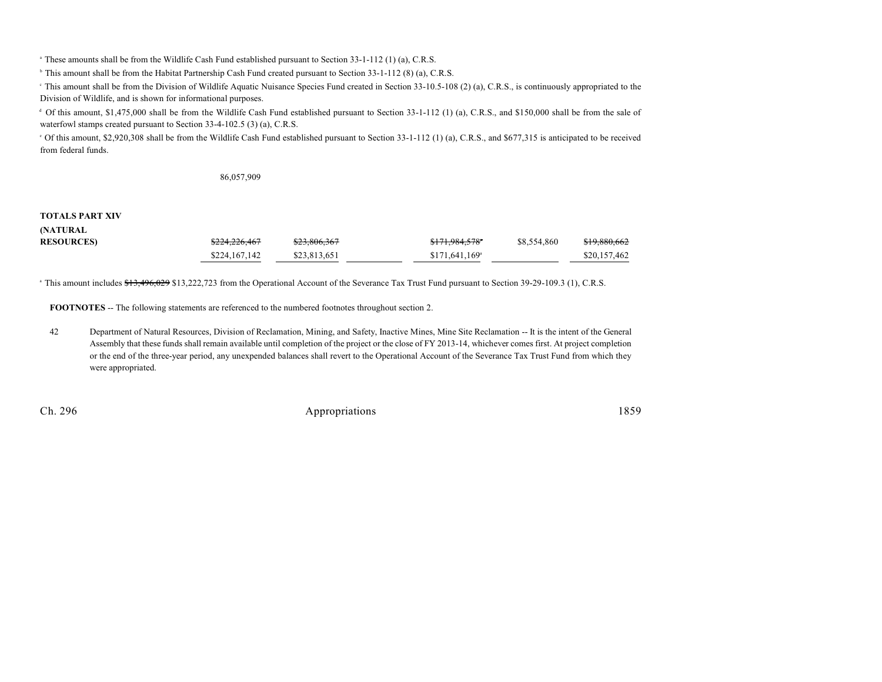<sup>a</sup> These amounts shall be from the Wildlife Cash Fund established pursuant to Section 33-1-112 (1) (a), C.R.S.

<sup>b</sup> This amount shall be from the Habitat Partnership Cash Fund created pursuant to Section 33-1-112 (8) (a), C.R.S.

This amount shall be from the Division of Wildlife Aquatic Nuisance Species Fund created in Section 33-10.5-108 (2) (a), C.R.S., is continuously appropriated to the Division of Wildlife, and is shown for informational purposes.

<sup>d</sup> Of this amount, \$1,475,000 shall be from the Wildlife Cash Fund established pursuant to Section 33-1-112 (1) (a), C.R.S., and \$150,000 shall be from the sale of waterfowl stamps created pursuant to Section 33-4-102.5 (3) (a), C.R.S.

 $\degree$  Of this amount, \$2,920,308 shall be from the Wildlife Cash Fund established pursuant to Section 33-1-112 (1) (a), C.R.S., and \$677,315 is anticipated to be received from federal funds.

86,057,909

#### **TOTALS PART XIV**

| (NATURAL         |               |              |                            |             |              |
|------------------|---------------|--------------|----------------------------|-------------|--------------|
| <b>RESOURCES</b> | \$224,226,467 | \$23,806,367 | <del>\$171.984.578</del> ° | \$8,554,860 | \$19,880,662 |
|                  | \$224,167,142 | \$23,813,651 | \$171,641,169ª             |             | \$20,157,462 |

<sup>a</sup> This amount includes \$13,496,029 \$13,222,723 from the Operational Account of the Severance Tax Trust Fund pursuant to Section 39-29-109.3 (1), C.R.S.

**FOOTNOTES** -- The following statements are referenced to the numbered footnotes throughout section 2.

42 Department of Natural Resources, Division of Reclamation, Mining, and Safety, Inactive Mines, Mine Site Reclamation -- It is the intent of the General Assembly that these funds shall remain available until completion of the project or the close of FY 2013-14, whichever comes first. At project completion or the end of the three-year period, any unexpended balances shall revert to the Operational Account of the Severance Tax Trust Fund from which they were appropriated.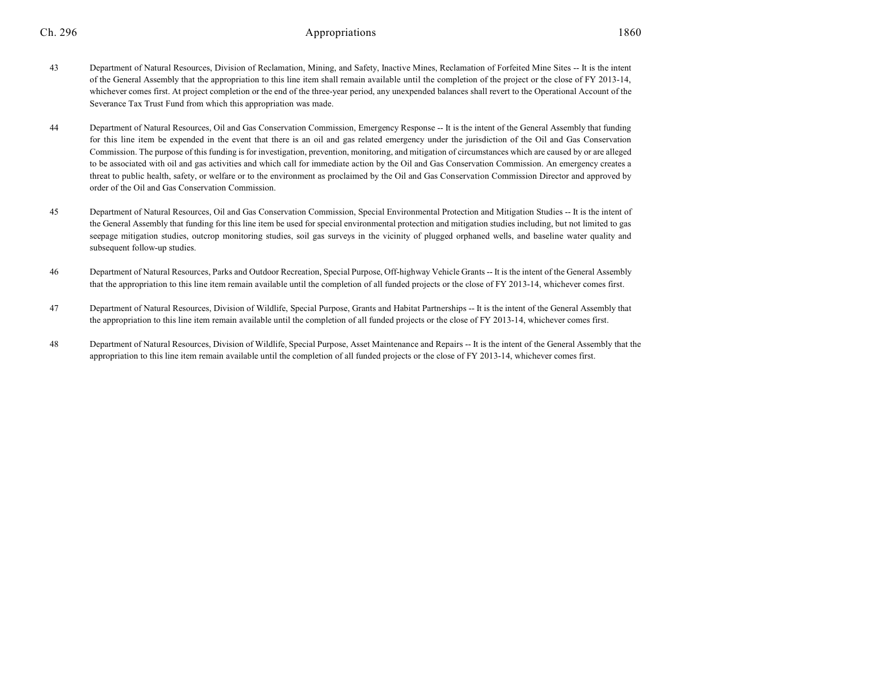- 43 Department of Natural Resources, Division of Reclamation, Mining, and Safety, Inactive Mines, Reclamation of Forfeited Mine Sites -- It is the intent of the General Assembly that the appropriation to this line item shall remain available until the completion of the project or the close of FY 2013-14, whichever comes first. At project completion or the end of the three-year period, any unexpended balances shall revert to the Operational Account of the Severance Tax Trust Fund from which this appropriation was made.
- 44 Department of Natural Resources, Oil and Gas Conservation Commission, Emergency Response -- It is the intent of the General Assembly that funding for this line item be expended in the event that there is an oil and gas related emergency under the jurisdiction of the Oil and Gas Conservation Commission. The purpose of this funding is for investigation, prevention, monitoring, and mitigation of circumstances which are caused by or are alleged to be associated with oil and gas activities and which call for immediate action by the Oil and Gas Conservation Commission. An emergency creates a threat to public health, safety, or welfare or to the environment as proclaimed by the Oil and Gas Conservation Commission Director and approved by order of the Oil and Gas Conservation Commission.
- 45 Department of Natural Resources, Oil and Gas Conservation Commission, Special Environmental Protection and Mitigation Studies -- It is the intent of the General Assembly that funding for this line item be used for special environmental protection and mitigation studies including, but not limited to gas seepage mitigation studies, outcrop monitoring studies, soil gas surveys in the vicinity of plugged orphaned wells, and baseline water quality and subsequent follow-up studies.
- 46 Department of Natural Resources, Parks and Outdoor Recreation, Special Purpose, Off-highway Vehicle Grants -- It is the intent of the General Assembly that the appropriation to this line item remain available until the completion of all funded projects or the close of FY 2013-14, whichever comes first.
- 47 Department of Natural Resources, Division of Wildlife, Special Purpose, Grants and Habitat Partnerships -- It is the intent of the General Assembly that the appropriation to this line item remain available until the completion of all funded projects or the close of FY 2013-14, whichever comes first.
- 48 Department of Natural Resources, Division of Wildlife, Special Purpose, Asset Maintenance and Repairs -- It is the intent of the General Assembly that the appropriation to this line item remain available until the completion of all funded projects or the close of FY 2013-14, whichever comes first.